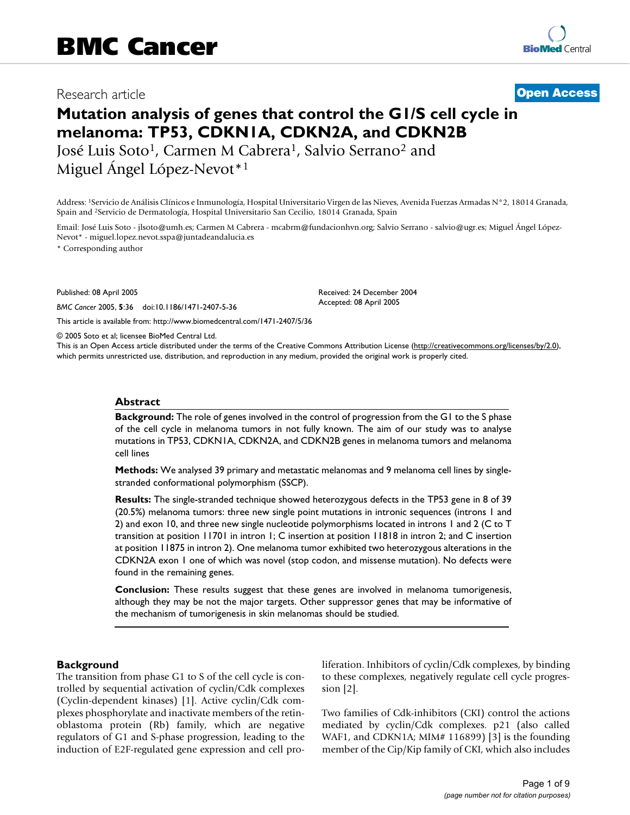# Research article **[Open Access](http://www.biomedcentral.com/info/about/charter/)**

# **Mutation analysis of genes that control the G1/S cell cycle in melanoma: TP53, CDKN1A, CDKN2A, and CDKN2B**

José Luis Soto<sup>1</sup>, Carmen M Cabrera<sup>1</sup>, Salvio Serrano<sup>2</sup> and Miguel Ángel López-Nevot<sup>\*1</sup>

Address: 1Servicio de Análisis Clínicos e Inmunología, Hospital Universitario Virgen de las Nieves, Avenida Fuerzas Armadas N°2, 18014 Granada, Spain and 2Servicio de Dermatología, Hospital Universitario San Cecilio, 18014 Granada, Spain

Email: José Luis Soto - jlsoto@umh.es; Carmen M Cabrera - mcabrm@fundacionhvn.org; Salvio Serrano - salvio@ugr.es; Miguel Ángel López-Nevot\* - miguel.lopez.nevot.sspa@juntadeandalucia.es

\* Corresponding author

Published: 08 April 2005

*BMC Cancer* 2005, **5**:36 doi:10.1186/1471-2407-5-36

[This article is available from: http://www.biomedcentral.com/1471-2407/5/36](http://www.biomedcentral.com/1471-2407/5/36)

© 2005 Soto et al; licensee BioMed Central Ltd.

This is an Open Access article distributed under the terms of the Creative Commons Attribution License [\(http://creativecommons.org/licenses/by/2.0\)](http://creativecommons.org/licenses/by/2.0), which permits unrestricted use, distribution, and reproduction in any medium, provided the original work is properly cited.

Received: 24 December 2004 Accepted: 08 April 2005

#### **Abstract**

**Background:** The role of genes involved in the control of progression from the G1 to the S phase of the cell cycle in melanoma tumors in not fully known. The aim of our study was to analyse mutations in TP53, CDKN1A, CDKN2A, and CDKN2B genes in melanoma tumors and melanoma cell lines

**Methods:** We analysed 39 primary and metastatic melanomas and 9 melanoma cell lines by singlestranded conformational polymorphism (SSCP).

**Results:** The single-stranded technique showed heterozygous defects in the TP53 gene in 8 of 39 (20.5%) melanoma tumors: three new single point mutations in intronic sequences (introns 1 and 2) and exon 10, and three new single nucleotide polymorphisms located in introns 1 and 2 (C to T transition at position 11701 in intron 1; C insertion at position 11818 in intron 2; and C insertion at position 11875 in intron 2). One melanoma tumor exhibited two heterozygous alterations in the CDKN2A exon 1 one of which was novel (stop codon, and missense mutation). No defects were found in the remaining genes.

**Conclusion:** These results suggest that these genes are involved in melanoma tumorigenesis, although they may be not the major targets. Other suppressor genes that may be informative of the mechanism of tumorigenesis in skin melanomas should be studied.

#### **Background**

The transition from phase G1 to S of the cell cycle is controlled by sequential activation of cyclin/Cdk complexes (Cyclin-dependent kinases) [1]. Active cyclin/Cdk complexes phosphorylate and inactivate members of the retinoblastoma protein (Rb) family, which are negative regulators of G1 and S-phase progression, leading to the induction of E2F-regulated gene expression and cell proliferation. Inhibitors of cyclin/Cdk complexes, by binding to these complexes, negatively regulate cell cycle progression [2].

Two families of Cdk-inhibitors (CKI) control the actions mediated by cyclin/Cdk complexes. p21 (also called WAF1, and CDKN1A; MIM# 116899) [3] is the founding member of the Cip/Kip family of CKI, which also includes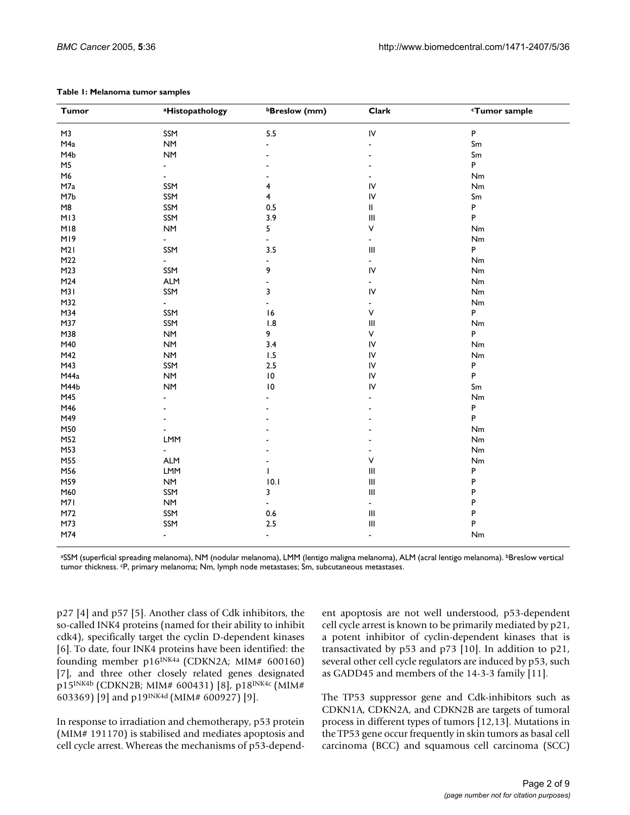| <b>Tumor</b>   | aHistopathology        | <b>bBreslow</b> (mm) | Clark                              | <b>Tumor sample</b> |
|----------------|------------------------|----------------------|------------------------------------|---------------------|
| M3             | SSM                    | 5.5                  | IV                                 | $\sf P$             |
| M4a            | <b>NM</b>              | ÷,                   | $\overline{\phantom{a}}$           | Sm                  |
| M4b            | $\mathsf{N}\mathsf{M}$ |                      |                                    | Sm                  |
| M <sub>5</sub> | $\blacksquare$         |                      |                                    | P                   |
| M6             | $\overline{a}$         |                      |                                    | Nm                  |
| M7a            | SSM                    | 4                    | IV                                 | $\mathsf{Nm}$       |
| M7b            | SSM                    | 4                    | IV                                 | Sm                  |
| M8             | SSM                    | $0.5\,$              | Ш                                  | P                   |
| M13            | SSM                    | 3.9                  | $\begin{array}{c} \Pi \end{array}$ | P                   |
| M18            | <b>NM</b>              | 5                    | ٧                                  | Nm                  |
| MI9            | $\blacksquare$         | $\blacksquare$       | $\blacksquare$                     | Nm                  |
| M2I            | SSM                    | 3.5                  | Ш                                  | P                   |
| M22            | $\blacksquare$         | $\blacksquare$       | ÷,                                 | Nm                  |
| M23            | SSM                    | 9                    | IV                                 | $\mathsf{Nm}$       |
| M24            | <b>ALM</b>             |                      | $\frac{1}{2}$                      | $\mathsf{Nm}$       |
| M3I            | SSM                    | 3                    | IV                                 | Nm                  |
| M32            | $\sim$                 | ÷,                   | ä,                                 | $\mathsf{Nm}$       |
| M34            | SSM                    | 16                   | ٧                                  | P                   |
| M37            | SSM                    | 1.8                  | $\ensuremath{\mathsf{III}}\xspace$ | $\mathsf{Nm}$       |
| M38            | <b>NM</b>              | 9                    | ٧                                  | P                   |
| M40            | <b>NM</b>              | 3.4                  | IV                                 | Nm                  |
| M42            | <b>NM</b>              | 1.5                  | IV                                 | Nm                  |
| M43            | SSM                    | $2.5$                | IV                                 | P                   |
| M44a           | <b>NM</b>              | $\,$ l $\,$          | IV                                 | P                   |
| M44b           | <b>NM</b>              | $\,$ l $\,$          | IV                                 | Sm                  |
| M45            | $\overline{a}$         |                      |                                    | Nm                  |
| M46            |                        |                      |                                    | P                   |
| M49            |                        |                      |                                    | P                   |
| M50            |                        |                      |                                    | $\mathsf{Nm}$       |
| M52            | LMM                    |                      |                                    | Nm                  |
| M53            | $\overline{a}$         |                      |                                    | $\mathsf{Nm}$       |
| M55            | <b>ALM</b>             |                      | ٧                                  | Nm                  |
| M56            | <b>LMM</b>             | $\mathbf{I}$         | $\ensuremath{\mathsf{III}}\xspace$ | P                   |
| M59            | <b>NM</b>              | 10.1                 | $\ensuremath{\mathsf{III}}\xspace$ | P                   |
| M60            | SSM                    | 3                    | $\ensuremath{\mathsf{III}}\xspace$ | P                   |
| M7I            | <b>NM</b>              | $\blacksquare$       | L,                                 | P                   |
| M72            | SSM                    | $0.6\,$              | $\ensuremath{\mathsf{III}}\xspace$ | P                   |
| M73            | SSM                    | 2.5                  | $\mathbf{III}$                     | P                   |
| M74            | $\blacksquare$         | $\blacksquare$       | $\overline{\phantom{a}}$           | Nm                  |

#### **Table 1: Melanoma tumor samples**

aSSM (superficial spreading melanoma), NM (nodular melanoma), LMM (lentigo maligna melanoma), ALM (acral lentigo melanoma). bBreslow vertical tumor thickness. cP, primary melanoma; Nm, lymph node metastases; Sm, subcutaneous metastases.

p27 [4] and p57 [5]. Another class of Cdk inhibitors, the so-called INK4 proteins (named for their ability to inhibit cdk4), specifically target the cyclin D-dependent kinases [6]. To date, four INK4 proteins have been identified: the founding member p16<sup>INK4a</sup> (CDKN2A; MIM# 600160) [7], and three other closely related genes designated p15INK4b (CDKN2B; MIM# 600431) [8], p18INK4c (MIM# 603369) [9] and p19INK4d (MIM# 600927) [9].

In response to irradiation and chemotherapy, p53 protein (MIM# 191170) is stabilised and mediates apoptosis and cell cycle arrest. Whereas the mechanisms of p53-dependent apoptosis are not well understood, p53-dependent cell cycle arrest is known to be primarily mediated by p21, a potent inhibitor of cyclin-dependent kinases that is transactivated by p53 and p73 [10]. In addition to p21, several other cell cycle regulators are induced by p53, such as GADD45 and members of the 14-3-3 family [11].

The TP53 suppressor gene and Cdk-inhibitors such as CDKN1A, CDKN2A, and CDKN2B are targets of tumoral process in different types of tumors [12,13]. Mutations in the TP53 gene occur frequently in skin tumors as basal cell carcinoma (BCC) and squamous cell carcinoma (SCC)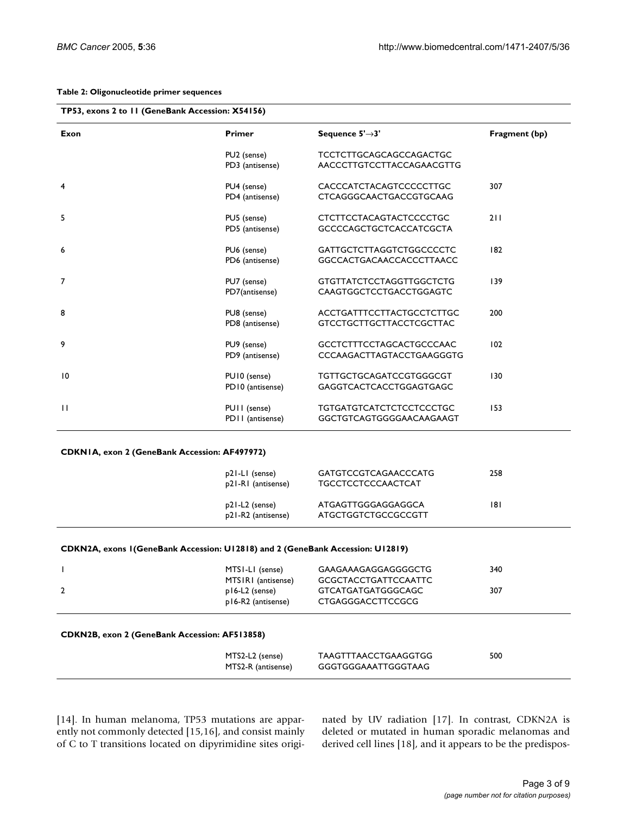#### **Table 2: Oligonucleotide primer sequences**

| Exon           | <b>Primer</b>    | Sequence $5' \rightarrow 3'$    | Fragment (bp) |
|----------------|------------------|---------------------------------|---------------|
|                | PU2 (sense)      | TCCTCTTGCAGCAGCCAGACTGC         |               |
|                | PD3 (antisense)  | AACCCTTGTCCTTACCAGAACGTTG       |               |
| $\overline{4}$ | PU4 (sense)      | CACCCATCTACAGTCCCCCTTGC         | 307           |
|                | PD4 (antisense)  | <b>CTCAGGGCAACTGACCGTGCAAG</b>  |               |
| 5              | PU5 (sense)      | <b>CTCTTCCTACAGTACTCCCCTGC</b>  | 211           |
|                | PD5 (antisense)  | <b>GCCCCAGCTGCTCACCATCGCTA</b>  |               |
| 6              | PU6 (sense)      | GATTGCTCTTAGGTCTGGCCCCTC        | 182           |
|                | PD6 (antisense)  | <b>GGCCACTGACAACCACCCTTAACC</b> |               |
| $\overline{7}$ | PU7 (sense)      | <b>GTGTTATCTCCTAGGTTGGCTCTG</b> | 139           |
|                | PD7(antisense)   | CAAGTGGCTCCTGACCTGGAGTC         |               |
| 8              | PU8 (sense)      | ACCTGATTTCCTTACTGCCTCTTGC       | 200           |
|                | PD8 (antisense)  | GTCCTGCTTGCTTACCTCGCTTAC        |               |
| 9              | PU9 (sense)      | <b>GCCTCTTTCCTAGCACTGCCCAAC</b> | 102           |
|                | PD9 (antisense)  | CCCAAGACTTAGTACCTGAAGGGTG       |               |
| 10             | PUI0 (sense)     | <b>TGTTGCTGCAGATCCGTGGGCGT</b>  | 130           |
|                | PD10 (antisense) | GAGGTCACTCACCTGGAGTGAGC         |               |
| $\mathbf{H}$   | PUII (sense)     | <b>TGTGATGTCATCTCTCCTCCCTGC</b> | 153           |
|                | PD11 (antisense) | GGCTGTCAGTGGGGAACAAGAAGT        |               |

#### **CDKN1A, exon 2 (GeneBank Accession: AF497972)**

| p21-LI (sense)<br>p21-R1 (antisense) | <b>GATGTCCGTCAGAACCCATG</b><br><b>TGCCTCCTCCCAACTCAT</b> | 258 |
|--------------------------------------|----------------------------------------------------------|-----|
| p21-L2 (sense)<br>p21-R2 (antisense) | ATGAGTTGGGAGGAGGCA<br>ATGCTGGTCTGCCGCCGTT                | 181 |

#### **CDKN2A, exons 1(GeneBank Accession: U12818) and 2 (GeneBank Accession: U12819)**

| MTSI-LI (sense)<br>MTSIRI (antisense) | GAAGAAAGAGGAGGGGCTG<br><b>GCGCTACCTGATTCCAATTC</b> | 340 |
|---------------------------------------|----------------------------------------------------|-----|
| p16-L2 (sense)<br>p16-R2 (antisense)  | GTCATGATGATGGGCAGC<br>CTGAGGGACCTTCCGCG            | 307 |

#### **CDKN2B, exon 2 (GeneBank Accession: AF513858)**

| MTS2-L2 (sense)    | TAAGTTTAACCTGAAGGTGG | 500 |  |
|--------------------|----------------------|-----|--|
| MTS2-R (antisense) | GGGTGGGAAATTGGGTAAG  |     |  |

[14]. In human melanoma, TP53 mutations are apparently not commonly detected [15,16], and consist mainly of C to T transitions located on dipyrimidine sites originated by UV radiation [17]. In contrast, CDKN2A is deleted or mutated in human sporadic melanomas and derived cell lines [18], and it appears to be the predispos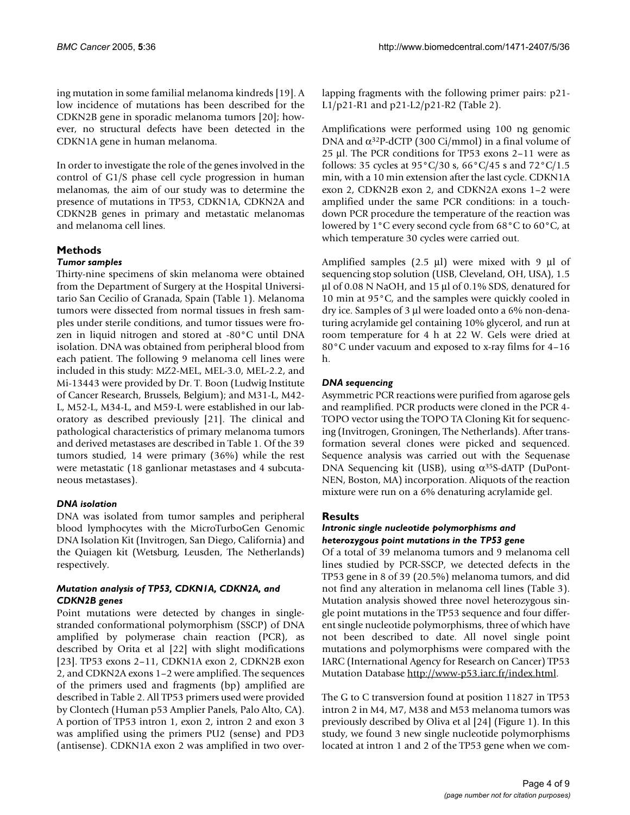ing mutation in some familial melanoma kindreds [19]. A low incidence of mutations has been described for the CDKN2B gene in sporadic melanoma tumors [20]; however, no structural defects have been detected in the CDKN1A gene in human melanoma.

In order to investigate the role of the genes involved in the control of G1/S phase cell cycle progression in human melanomas, the aim of our study was to determine the presence of mutations in TP53, CDKN1A, CDKN2A and CDKN2B genes in primary and metastatic melanomas and melanoma cell lines.

# **Methods**

## *Tumor samples*

Thirty-nine specimens of skin melanoma were obtained from the Department of Surgery at the Hospital Universitario San Cecilio of Granada, Spain (Table 1). Melanoma tumors were dissected from normal tissues in fresh samples under sterile conditions, and tumor tissues were frozen in liquid nitrogen and stored at -80°C until DNA isolation. DNA was obtained from peripheral blood from each patient. The following 9 melanoma cell lines were included in this study: MZ2-MEL, MEL-3.0, MEL-2.2, and Mi-13443 were provided by Dr. T. Boon (Ludwig Institute of Cancer Research, Brussels, Belgium); and M31-L, M42- L, M52-L, M34-L, and M59-L were established in our laboratory as described previously [21]. The clinical and pathological characteristics of primary melanoma tumors and derived metastases are described in Table 1. Of the 39 tumors studied, 14 were primary (36%) while the rest were metastatic (18 ganlionar metastases and 4 subcutaneous metastases).

# *DNA isolation*

DNA was isolated from tumor samples and peripheral blood lymphocytes with the MicroTurboGen Genomic DNA Isolation Kit (Invitrogen, San Diego, California) and the Quiagen kit (Wetsburg, Leusden, The Netherlands) respectively.

## *Mutation analysis of TP53, CDKN1A, CDKN2A, and CDKN2B genes*

Point mutations were detected by changes in singlestranded conformational polymorphism (SSCP) of DNA amplified by polymerase chain reaction (PCR), as described by Orita et al [22] with slight modifications [23]. TP53 exons 2–11, CDKN1A exon 2, CDKN2B exon 2, and CDKN2A exons 1–2 were amplified. The sequences of the primers used and fragments (bp) amplified are described in Table 2. All TP53 primers used were provided by Clontech (Human p53 Amplier Panels, Palo Alto, CA). A portion of TP53 intron 1, exon 2, intron 2 and exon 3 was amplified using the primers PU2 (sense) and PD3 (antisense). CDKN1A exon 2 was amplified in two overlapping fragments with the following primer pairs: p21- L1/p21-R1 and p21-L2/p21-R2 (Table 2).

Amplifications were performed using 100 ng genomic DNA and  $\alpha^{32}P$ -dCTP (300 Ci/mmol) in a final volume of 25 µl. The PCR conditions for TP53 exons 2–11 were as follows: 35 cycles at  $95^{\circ}$ C/30 s, 66 $^{\circ}$ C/45 s and 72 $^{\circ}$ C/1.5 min, with a 10 min extension after the last cycle. CDKN1A exon 2, CDKN2B exon 2, and CDKN2A exons 1–2 were amplified under the same PCR conditions: in a touchdown PCR procedure the temperature of the reaction was lowered by 1°C every second cycle from 68°C to 60°C, at which temperature 30 cycles were carried out.

Amplified samples  $(2.5 \mu l)$  were mixed with 9  $\mu l$  of sequencing stop solution (USB, Cleveland, OH, USA), 1.5 µl of 0.08 N NaOH, and 15 µl of 0.1% SDS, denatured for 10 min at 95°C, and the samples were quickly cooled in dry ice. Samples of 3 µl were loaded onto a 6% non-denaturing acrylamide gel containing 10% glycerol, and run at room temperature for 4 h at 22 W. Gels were dried at 80°C under vacuum and exposed to x-ray films for 4–16 h.

# *DNA sequencing*

Asymmetric PCR reactions were purified from agarose gels and reamplified. PCR products were cloned in the PCR 4- TOPO vector using the TOPO TA Cloning Kit for sequencing (Invitrogen, Groningen, The Netherlands). After transformation several clones were picked and sequenced. Sequence analysis was carried out with the Sequenase DNA Sequencing kit (USB), using  $\alpha^{35}$ S-dATP (DuPont-NEN, Boston, MA) incorporation. Aliquots of the reaction mixture were run on a 6% denaturing acrylamide gel.

# **Results**

## *Intronic single nucleotide polymorphisms and heterozygous point mutations in the TP53 gene*

Of a total of 39 melanoma tumors and 9 melanoma cell lines studied by PCR-SSCP, we detected defects in the TP53 gene in 8 of 39 (20.5%) melanoma tumors, and did not find any alteration in melanoma cell lines (Table 3). Mutation analysis showed three novel heterozygous single point mutations in the TP53 sequence and four different single nucleotide polymorphisms, three of which have not been described to date. All novel single point mutations and polymorphisms were compared with the IARC (International Agency for Research on Cancer) TP53 Mutation Database [http://www-p53.iarc.fr/index.html.](http://www-p53.iarc.fr/index.html)

The G to C transversion found at position 11827 in TP53 intron 2 in M4, M7, M38 and M53 melanoma tumors was previously described by Oliva et al [24] (Figure 1). In this study, we found 3 new single nucleotide polymorphisms located at intron 1 and 2 of the TP53 gene when we com-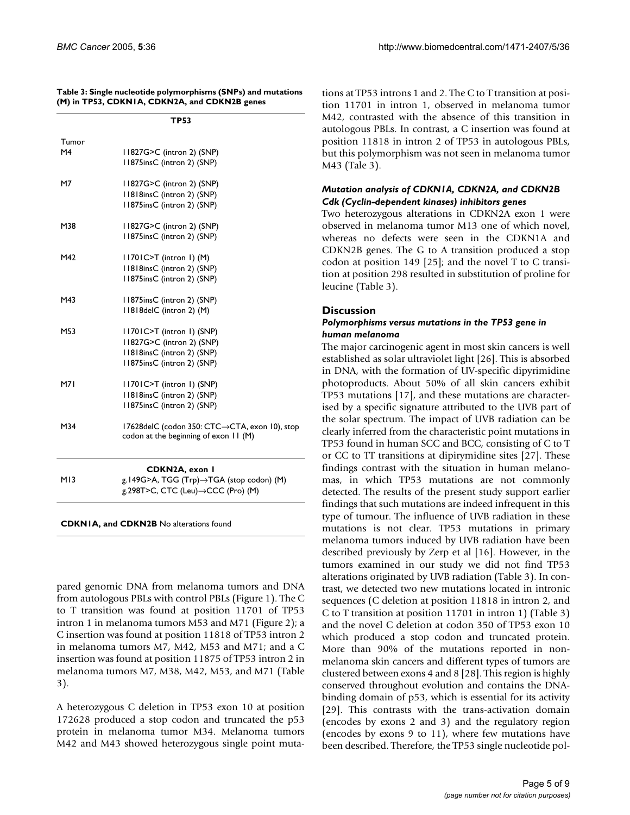|  |                                               |  | Table 3: Single nucleotide polymorphisms (SNPs) and mutations |
|--|-----------------------------------------------|--|---------------------------------------------------------------|
|  | (M) in TP53, CDKN1A, CDKN2A, and CDKN2B genes |  |                                                               |

|            | <b>TP53</b>                                   |
|------------|-----------------------------------------------|
| Tumor      |                                               |
| M4         | 11827G>C (intron 2) (SNP)                     |
|            | 11875insC (intron 2) (SNP)                    |
|            |                                               |
| M7         | 11827G>C (intron 2) (SNP)                     |
|            | 11818insC (intron 2) (SNP)                    |
|            | 11875insC (intron 2) (SNP)                    |
| M38        | 11827G>C (intron 2) (SNP)                     |
|            | 11875insC (intron 2) (SNP)                    |
| M42        | $11701C > T$ (intron 1) (M)                   |
|            | 11818insC (intron 2) (SNP)                    |
|            | 11875insC (intron 2) (SNP)                    |
|            |                                               |
| M43        | 11875insC (intron 2) (SNP)                    |
|            | II8I8delC (intron 2) (M)                      |
| M53        | 11701C>T (intron 1) (SNP)                     |
|            | I I827G>C (intron 2) (SNP)                    |
|            | 11818insC (intron 2) (SNP)                    |
|            | 11875insC (intron 2) (SNP)                    |
| <b>M71</b> | 11701C>T (intron 1) (SNP)                     |
|            | 11818insC (intron 2) (SNP)                    |
|            | 11875insC (intron 2) (SNP)                    |
|            |                                               |
| M34        | 17628delC (codon 350: CTC→CTA, exon 10), stop |
|            | codon at the beginning of exon 11 (M)         |
|            |                                               |
|            | <b>CDKN2A, exon I</b>                         |
| M13        | g.149G>A, TGG (Trp)→TGA (stop codon) (M)      |
|            | g.298T>C, CTC (Leu)→CCC (Pro) (M)             |

| <b>CDKNIA, and CDKN2B No alterations found</b> |  |
|------------------------------------------------|--|
|------------------------------------------------|--|

pared genomic DNA from melanoma tumors and DNA from autologous PBLs with control PBLs (Figure 1). The C to T transition was found at position 11701 of TP53 intron 1 in melanoma tumors M53 and M71 (Figure [2\)](#page-6-0); a C insertion was found at position 11818 of TP53 intron 2 in melanoma tumors M7, M42, M53 and M71; and a C insertion was found at position 11875 of TP53 intron 2 in melanoma tumors M7, M38, M42, M53, and M71 (Table 3).

A heterozygous C deletion in TP53 exon 10 at position 172628 produced a stop codon and truncated the p53 protein in melanoma tumor M34. Melanoma tumors M42 and M43 showed heterozygous single point mutations at TP53 introns 1 and 2. The C to T transition at position 11701 in intron 1, observed in melanoma tumor M42, contrasted with the absence of this transition in autologous PBLs. In contrast, a C insertion was found at position 11818 in intron 2 of TP53 in autologous PBLs, but this polymorphism was not seen in melanoma tumor M43 (Tale 3).

## *Mutation analysis of CDKN1A, CDKN2A, and CDKN2B Cdk (Cyclin-dependent kinases) inhibitors genes*

Two heterozygous alterations in CDKN2A exon 1 were observed in melanoma tumor M13 one of which novel, whereas no defects were seen in the CDKN1A and CDKN2B genes. The G to A transition produced a stop codon at position 149 [25]; and the novel T to C transition at position 298 resulted in substitution of proline for leucine (Table 3).

## **Discussion**

#### *Polymorphisms versus mutations in the TP53 gene in human melanoma*

The major carcinogenic agent in most skin cancers is well established as solar ultraviolet light [26]. This is absorbed in DNA, with the formation of UV-specific dipyrimidine photoproducts. About 50% of all skin cancers exhibit TP53 mutations [17], and these mutations are characterised by a specific signature attributed to the UVB part of the solar spectrum. The impact of UVB radiation can be clearly inferred from the characteristic point mutations in TP53 found in human SCC and BCC, consisting of C to T or CC to TT transitions at dipirymidine sites [27]. These findings contrast with the situation in human melanomas, in which TP53 mutations are not commonly detected. The results of the present study support earlier findings that such mutations are indeed infrequent in this type of tumour. The influence of UVB radiation in these mutations is not clear. TP53 mutations in primary melanoma tumors induced by UVB radiation have been described previously by Zerp et al [16]. However, in the tumors examined in our study we did not find TP53 alterations originated by UVB radiation (Table 3). In contrast, we detected two new mutations located in intronic sequences (C deletion at position 11818 in intron 2, and C to T transition at position 11701 in intron 1) (Table 3) and the novel C deletion at codon 350 of TP53 exon 10 which produced a stop codon and truncated protein. More than 90% of the mutations reported in nonmelanoma skin cancers and different types of tumors are clustered between exons 4 and 8 [28]. This region is highly conserved throughout evolution and contains the DNAbinding domain of p53, which is essential for its activity [29]. This contrasts with the trans-activation domain (encodes by exons 2 and 3) and the regulatory region (encodes by exons 9 to 11), where few mutations have been described. Therefore, the TP53 single nucleotide pol-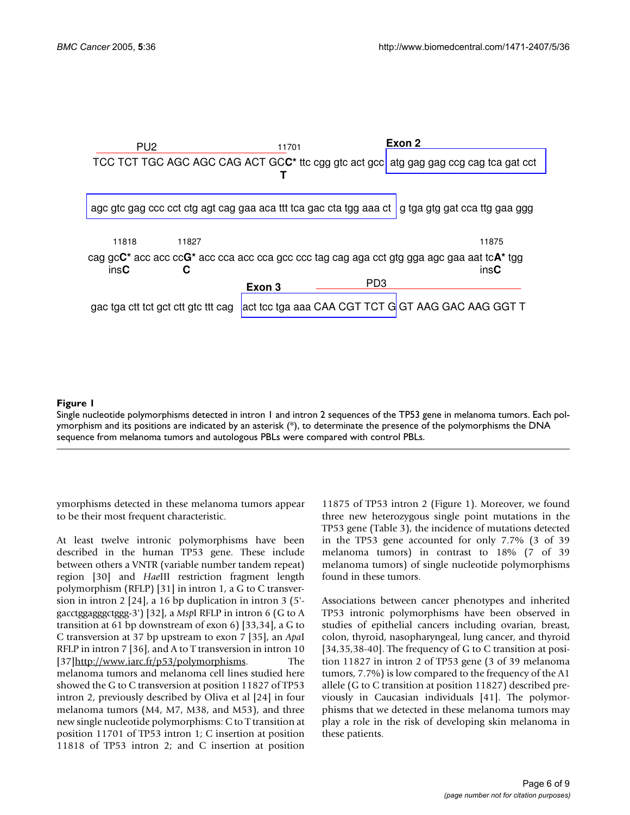

## Single nucleotide polymorphisms detected in intron 1 and **Figure 1** intron 2 sequences of the TP53 gene in melanoma tumors

Single nucleotide polymorphisms detected in intron 1 and intron 2 sequences of the TP53 gene in melanoma tumors. Each polymorphism and its positions are indicated by an asterisk  $(*)$ , to determinate the presence of the polymorphisms the DNA sequence from melanoma tumors and autologous PBLs were compared with control PBLs.

ymorphisms detected in these melanoma tumors appear to be their most frequent characteristic.

At least twelve intronic polymorphisms have been described in the human TP53 gene. These include between others a VNTR (variable number tandem repeat) region [30] and *Hae*III restriction fragment length polymorphism (RFLP) [31] in intron 1, a G to C transversion in intron 2 [24], a 16 bp duplication in intron 3 (5' gacctggagggctggg-3') [32], a *Msp*I RFLP in intron 6 (G to A transition at 61 bp downstream of exon 6) [33,34], a G to C transversion at 37 bp upstream to exon 7 [35], an *Apa*I RFLP in intron 7 [36], and A to T transversion in intron 10 [37][http://www.iarc.fr/p53/polymorphisms.](http://www.iarc.fr/p53/polymorphisms) The melanoma tumors and melanoma cell lines studied here showed the G to C transversion at position 11827 of TP53 intron 2, previously described by Oliva et al [24] in four melanoma tumors (M4, M7, M38, and M53), and three new single nucleotide polymorphisms: C to T transition at position 11701 of TP53 intron 1; C insertion at position 11818 of TP53 intron 2; and C insertion at position

11875 of TP53 intron 2 (Figure 1). Moreover, we found three new heterozygous single point mutations in the TP53 gene (Table 3), the incidence of mutations detected in the TP53 gene accounted for only 7.7% (3 of 39 melanoma tumors) in contrast to 18% (7 of 39 melanoma tumors) of single nucleotide polymorphisms found in these tumors.

Associations between cancer phenotypes and inherited TP53 intronic polymorphisms have been observed in studies of epithelial cancers including ovarian, breast, colon, thyroid, nasopharyngeal, lung cancer, and thyroid [34,35,38-40]. The frequency of G to C transition at position 11827 in intron 2 of TP53 gene (3 of 39 melanoma tumors, 7.7%) is low compared to the frequency of the A1 allele (G to C transition at position 11827) described previously in Caucasian individuals [41]. The polymorphisms that we detected in these melanoma tumors may play a role in the risk of developing skin melanoma in these patients.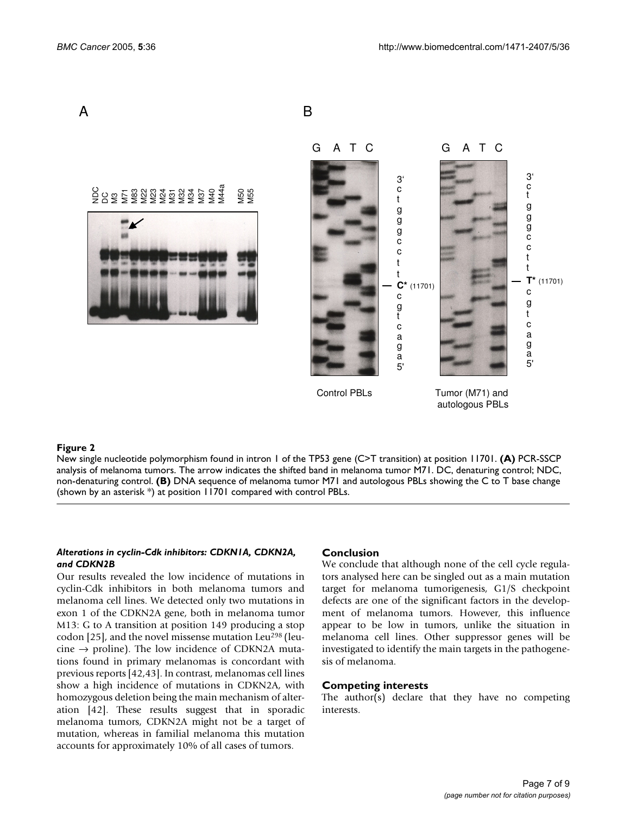<span id="page-6-0"></span>

#### New single nucleotide polymorphism **Figure 2** found in intron 1 of the TP53 gene (C>T transition) at position 11701

New single nucleotide polymorphism found in intron 1 of the TP53 gene (C>T transition) at position 11701. **(A)** PCR-SSCP analysis of melanoma tumors. The arrow indicates the shifted band in melanoma tumor M71. DC, denaturing control; NDC, non-denaturing control. **(B)** DNA sequence of melanoma tumor M71 and autologous PBLs showing the C to T base change (shown by an asterisk \*) at position 11701 compared with control PBLs.

#### *Alterations in cyclin-Cdk inhibitors: CDKN1A, CDKN2A, and CDKN2B*

Our results revealed the low incidence of mutations in cyclin-Cdk inhibitors in both melanoma tumors and melanoma cell lines. We detected only two mutations in exon 1 of the CDKN2A gene, both in melanoma tumor M13: G to A transition at position 149 producing a stop codon [25], and the novel missense mutation Leu<sup>298</sup> (leucine  $\rightarrow$  proline). The low incidence of CDKN2A mutations found in primary melanomas is concordant with previous reports [42,43]. In contrast, melanomas cell lines show a high incidence of mutations in CDKN2A, with homozygous deletion being the main mechanism of alteration [42]. These results suggest that in sporadic melanoma tumors, CDKN2A might not be a target of mutation, whereas in familial melanoma this mutation accounts for approximately 10% of all cases of tumors.

## **Conclusion**

We conclude that although none of the cell cycle regulators analysed here can be singled out as a main mutation target for melanoma tumorigenesis, G1/S checkpoint defects are one of the significant factors in the development of melanoma tumors. However, this influence appear to be low in tumors, unlike the situation in melanoma cell lines. Other suppressor genes will be investigated to identify the main targets in the pathogenesis of melanoma.

#### **Competing interests**

The author(s) declare that they have no competing interests.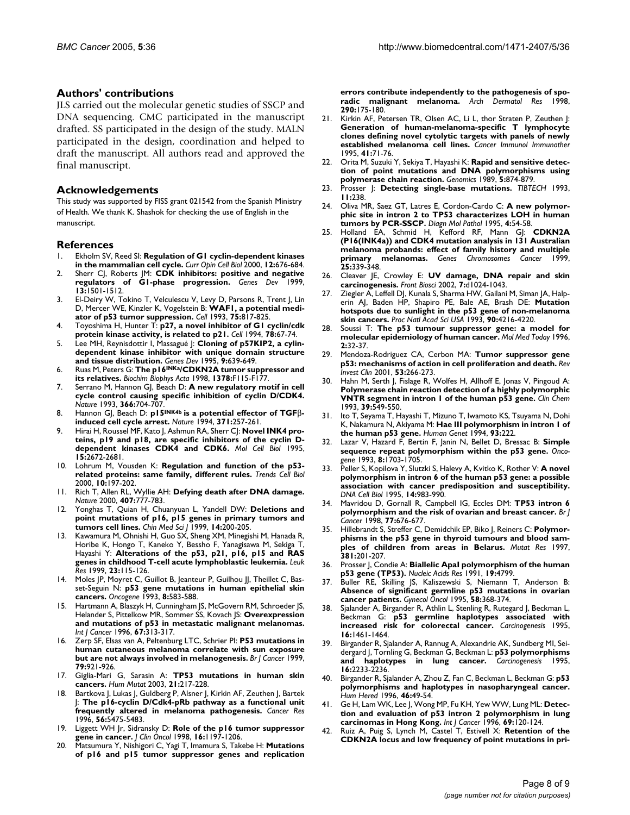### **Authors' contributions**

JLS carried out the molecular genetic studies of SSCP and DNA sequencing. CMC participated in the manuscript drafted. SS participated in the design of the study. MALN participated in the design, coordination and helped to draft the manuscript. All authors read and approved the final manuscript.

#### **Acknowledgements**

This study was supported by FISS grant 021542 from the Spanish Ministry of Health. We thank K. Shashok for checking the use of English in the manuscript.

#### **References**

- 1. Ekholm SV, Reed SI: **[Regulation of G1 cyclin-dependent kinases](http://www.ncbi.nlm.nih.gov/entrez/query.fcgi?cmd=Retrieve&db=PubMed&dopt=Abstract&list_uids=11063931) [in the mammalian cell cycle.](http://www.ncbi.nlm.nih.gov/entrez/query.fcgi?cmd=Retrieve&db=PubMed&dopt=Abstract&list_uids=11063931)** *Curr Opin Cell Biol* 2000, **12:**676-684.
- 2. Sherr CJ, Roberts JM: **[CDK inhibitors: positive and negative](http://www.ncbi.nlm.nih.gov/entrez/query.fcgi?cmd=Retrieve&db=PubMed&dopt=Abstract&list_uids=10385618)** [regulators of G1-phase progression.](http://www.ncbi.nlm.nih.gov/entrez/query.fcgi?cmd=Retrieve&db=PubMed&dopt=Abstract&list_uids=10385618) Genes Dev **13:**1501-1512.
- 3. El-Deiry W, Tokino T, Velculescu V, Levy D, Parsons R, Trent J, Lin D, Mercer WE, Kinzler K, Vogelstein B: **[WAF1, a potential medi](http://www.ncbi.nlm.nih.gov/entrez/query.fcgi?cmd=Retrieve&db=PubMed&dopt=Abstract&list_uids=8242752)[ator of p53 tumor suppression.](http://www.ncbi.nlm.nih.gov/entrez/query.fcgi?cmd=Retrieve&db=PubMed&dopt=Abstract&list_uids=8242752)** *Cell* 1993, **75:**817-825.
- 4. Toyoshima H, Hunter T: **[p27, a novel inhibitor of G1 cyclin/cdk](http://www.ncbi.nlm.nih.gov/entrez/query.fcgi?cmd=Retrieve&db=PubMed&dopt=Abstract&list_uids=8033213) [protein kinase activity, is related to p21.](http://www.ncbi.nlm.nih.gov/entrez/query.fcgi?cmd=Retrieve&db=PubMed&dopt=Abstract&list_uids=8033213)** *Cell* 1994, **78:**67-74.
- 5. Lee MH, Reynisdottir I, Massagué J: **[Cloning of p57KIP2, a cylin](http://www.ncbi.nlm.nih.gov/entrez/query.fcgi?cmd=Retrieve&db=PubMed&dopt=Abstract&list_uids=7729683)[dependent kinase inhibitor with unique domain structure](http://www.ncbi.nlm.nih.gov/entrez/query.fcgi?cmd=Retrieve&db=PubMed&dopt=Abstract&list_uids=7729683) [and tissue distribution.](http://www.ncbi.nlm.nih.gov/entrez/query.fcgi?cmd=Retrieve&db=PubMed&dopt=Abstract&list_uids=7729683)** *Genes Dev* 1995, **9:**639-649.
- 6. Ruas M, Peters G: **The p16INK[a/CDKN2A tumor suppressor and](http://www.ncbi.nlm.nih.gov/entrez/query.fcgi?cmd=Retrieve&db=PubMed&dopt=Abstract&list_uids=9823374) [its relatives.](http://www.ncbi.nlm.nih.gov/entrez/query.fcgi?cmd=Retrieve&db=PubMed&dopt=Abstract&list_uids=9823374)** *Biochim Biophys Acta* 1998, **1378:**F115-F177.
- 7. Serrano M, Hannon GJ, Beach D: **[A new regulatory motif in cell](http://www.ncbi.nlm.nih.gov/entrez/query.fcgi?cmd=Retrieve&db=PubMed&dopt=Abstract&list_uids=8259215) [cycle control causing specific inhibition of cyclin D/CDK4.](http://www.ncbi.nlm.nih.gov/entrez/query.fcgi?cmd=Retrieve&db=PubMed&dopt=Abstract&list_uids=8259215)** *Nature* 1993, **366:**704-707.
- 8. Hannon GJ, Beach D: **p15INK4b is a potential effector of TGF**β**[induced cell cycle arrest.](http://www.ncbi.nlm.nih.gov/entrez/query.fcgi?cmd=Retrieve&db=PubMed&dopt=Abstract&list_uids=8078588)** *Nature* 1994, **371:**257-261.
- 9. Hirai H, Roussel MF, Kato J, Ashmun RA, Sherr CJ: **[Novel INK4 pro](http://www.ncbi.nlm.nih.gov/entrez/query.fcgi?cmd=Retrieve&db=PubMed&dopt=Abstract&list_uids=7739547)[teins, p19 and p18, are specific inhibitors of the cyclin D](http://www.ncbi.nlm.nih.gov/entrez/query.fcgi?cmd=Retrieve&db=PubMed&dopt=Abstract&list_uids=7739547)[dependent kinases CDK4 and CDK6.](http://www.ncbi.nlm.nih.gov/entrez/query.fcgi?cmd=Retrieve&db=PubMed&dopt=Abstract&list_uids=7739547)** *Mol Cell Biol* 1995, **15:**2672-2681.
- 10. Lohrum M, Vousden K: **[Regulation and function of the p53](http://www.ncbi.nlm.nih.gov/entrez/query.fcgi?cmd=Retrieve&db=PubMed&dopt=Abstract&list_uids=10754563) [related proteins: same family, different rules.](http://www.ncbi.nlm.nih.gov/entrez/query.fcgi?cmd=Retrieve&db=PubMed&dopt=Abstract&list_uids=10754563)** *Trends Cell Biol* 2000, **10:**197-202.
- 11. Rich T, Allen RL, Wyllie AH: **[Defying death after DNA damage.](http://www.ncbi.nlm.nih.gov/entrez/query.fcgi?cmd=Retrieve&db=PubMed&dopt=Abstract&list_uids=11048728)** *Nature* 2000, **407:**777-783.
- 12. Yonghas T, Quian H, Chuanyuan L, Yandell DW: **[Deletions and](http://www.ncbi.nlm.nih.gov/entrez/query.fcgi?cmd=Retrieve&db=PubMed&dopt=Abstract&list_uids=12894891) [point mutations of p16, p15 genes in primary tumors and](http://www.ncbi.nlm.nih.gov/entrez/query.fcgi?cmd=Retrieve&db=PubMed&dopt=Abstract&list_uids=12894891) [tumors cell lines.](http://www.ncbi.nlm.nih.gov/entrez/query.fcgi?cmd=Retrieve&db=PubMed&dopt=Abstract&list_uids=12894891)** *Chin Med Sci J* 1999, **14:**200-205.
- 13. Kawamura M, Ohnishi H, Guo SX, Sheng XM, Minegishi M, Hanada R, Horibe K, Hongo T, Kaneko Y, Bessho F, Yanagisawa M, Sekiga T, Hayashi Y: **[Alterations of the p53, p21, p16, p15 and RAS](http://www.ncbi.nlm.nih.gov/entrez/query.fcgi?cmd=Retrieve&db=PubMed&dopt=Abstract&list_uids=10071127) [genes in childhood T-cell acute lymphoblastic leukemia.](http://www.ncbi.nlm.nih.gov/entrez/query.fcgi?cmd=Retrieve&db=PubMed&dopt=Abstract&list_uids=10071127)** *Leuk Res* 1999, **23:**115-126.
- 14. Moles JP, Moyret C, Guillot B, Jeanteur P, Guilhou JJ, Theillet C, Basset-Seguin N: **[p53 gene mutations in human epithelial skin](http://www.ncbi.nlm.nih.gov/entrez/query.fcgi?cmd=Retrieve&db=PubMed&dopt=Abstract&list_uids=8437842) [cancers.](http://www.ncbi.nlm.nih.gov/entrez/query.fcgi?cmd=Retrieve&db=PubMed&dopt=Abstract&list_uids=8437842)** *Oncogene* 1993, **8:**583-588.
- 15. Hartmann A, Blaszyk H, Cunningham JS, McGovern RM, Schroeder JS, Helander S, Pittelkow MR, Sommer SS, Kovach JS: **[Overexpression](http://www.ncbi.nlm.nih.gov/entrez/query.fcgi?cmd=Retrieve&db=PubMed&dopt=Abstract&list_uids=8707401) [and mutations of p53 in metastatic malignant melanomas.](http://www.ncbi.nlm.nih.gov/entrez/query.fcgi?cmd=Retrieve&db=PubMed&dopt=Abstract&list_uids=8707401)** *Int J Cancer* 1996, **67:**313-317.
- 16. Zerp SF, Elsas van A, Peltenburg LTC, Schrier PI: **[P53 mutations in](http://www.ncbi.nlm.nih.gov/entrez/query.fcgi?cmd=Retrieve&db=PubMed&dopt=Abstract&list_uids=10070891) [human cutaneous melanoma correlate with sun exposure](http://www.ncbi.nlm.nih.gov/entrez/query.fcgi?cmd=Retrieve&db=PubMed&dopt=Abstract&list_uids=10070891) [but are not always involved in melanogenesis.](http://www.ncbi.nlm.nih.gov/entrez/query.fcgi?cmd=Retrieve&db=PubMed&dopt=Abstract&list_uids=10070891)** *Br J Cancer* 1999, **79:**921-926.
- 17. Giglia-Mari G, Sarasin A: **[TP53 mutations in human skin](http://www.ncbi.nlm.nih.gov/entrez/query.fcgi?cmd=Retrieve&db=PubMed&dopt=Abstract&list_uids=12619107) [cancers.](http://www.ncbi.nlm.nih.gov/entrez/query.fcgi?cmd=Retrieve&db=PubMed&dopt=Abstract&list_uids=12619107)** *Hum Mutat* 2003, **21:**217-228.
- 18. Bartkova J, Lukas J, Guldberg P, Alsner J, Kirkin AF, Zeuthen J, Bartek J: **[The p16-cyclin D/Cdk4-pRb pathway as a functional unit](http://www.ncbi.nlm.nih.gov/entrez/query.fcgi?cmd=Retrieve&db=PubMed&dopt=Abstract&list_uids=8968104) [frequently altered in melanoma pathogenesis.](http://www.ncbi.nlm.nih.gov/entrez/query.fcgi?cmd=Retrieve&db=PubMed&dopt=Abstract&list_uids=8968104)** *Cancer Res* 1996, **56:**5475-5483.
- 19. Liggett WH Jr, Sidransky D: **[Role of the p16 tumor suppressor](http://www.ncbi.nlm.nih.gov/entrez/query.fcgi?cmd=Retrieve&db=PubMed&dopt=Abstract&list_uids=9508208) [gene in cancer.](http://www.ncbi.nlm.nih.gov/entrez/query.fcgi?cmd=Retrieve&db=PubMed&dopt=Abstract&list_uids=9508208)** *J Clin Oncol* 1998, **16:**1197-1206.
- 20. Matsumura Y, Nishigori C, Yagi T, Imamura S, Takebe H: **[Mutations](http://www.ncbi.nlm.nih.gov/entrez/query.fcgi?cmd=Retrieve&db=PubMed&dopt=Abstract&list_uids=9617435) [of p16 and p15 tumor suppressor genes and replication](http://www.ncbi.nlm.nih.gov/entrez/query.fcgi?cmd=Retrieve&db=PubMed&dopt=Abstract&list_uids=9617435)**

**[errors contribute independently to the pathogenesis of spo](http://www.ncbi.nlm.nih.gov/entrez/query.fcgi?cmd=Retrieve&db=PubMed&dopt=Abstract&list_uids=9617435)[radic malignant melanoma.](http://www.ncbi.nlm.nih.gov/entrez/query.fcgi?cmd=Retrieve&db=PubMed&dopt=Abstract&list_uids=9617435)** *Arch Dermatol Res* 1998, **290:**175-180.

- 21. Kirkin AF, Petersen TR, Olsen AC, Li L, thor Straten P, Zeuthen J: **[Generation of human-melanoma-specific T lymphocyte](http://www.ncbi.nlm.nih.gov/entrez/query.fcgi?cmd=Retrieve&db=PubMed&dopt=Abstract&list_uids=7656272) clones defining novel cytolytic targets with panels of newly [established melanoma cell lines.](http://www.ncbi.nlm.nih.gov/entrez/query.fcgi?cmd=Retrieve&db=PubMed&dopt=Abstract&list_uids=7656272)** *Cancer Immunol Immunother* 1995, **41:**71-76.
- 22. Orita M, Suzuki Y, Sekiya T, Hayashi K: **[Rapid and sensitive detec](http://www.ncbi.nlm.nih.gov/entrez/query.fcgi?cmd=Retrieve&db=PubMed&dopt=Abstract&list_uids=2687159)[tion of point mutations and DNA polymorphisms using](http://www.ncbi.nlm.nih.gov/entrez/query.fcgi?cmd=Retrieve&db=PubMed&dopt=Abstract&list_uids=2687159) [polymerase chain reaction.](http://www.ncbi.nlm.nih.gov/entrez/query.fcgi?cmd=Retrieve&db=PubMed&dopt=Abstract&list_uids=2687159)** *Genomics* 1989, **5:**874-879.
- 23. Prosser J: **Detecting single-base mutations.** *TIBTECH* 1993, **11:**238.
- 24. Oliva MR, Saez GT, Latres E, Cordon-Cardo C: **[A new polymor](http://www.ncbi.nlm.nih.gov/entrez/query.fcgi?cmd=Retrieve&db=PubMed&dopt=Abstract&list_uids=7735557)[phic site in intron 2 to TP53 characterizes LOH in human](http://www.ncbi.nlm.nih.gov/entrez/query.fcgi?cmd=Retrieve&db=PubMed&dopt=Abstract&list_uids=7735557) [tumors by PCR-SSCP.](http://www.ncbi.nlm.nih.gov/entrez/query.fcgi?cmd=Retrieve&db=PubMed&dopt=Abstract&list_uids=7735557)** *Diagn Mol Pathol* 1995, **4:**54-58.
- 25. Holland EA, Schmid H, Kefford RF, Mann GJ: **[CDKN2A](http://www.ncbi.nlm.nih.gov/entrez/query.fcgi?cmd=Retrieve&db=PubMed&dopt=Abstract&list_uids=10398427) (P16(INK4a)) and CDK4 mutation analysis in 131 Australian [melanoma probands: effect of family history and multiple](http://www.ncbi.nlm.nih.gov/entrez/query.fcgi?cmd=Retrieve&db=PubMed&dopt=Abstract&list_uids=10398427) [primary melanomas.](http://www.ncbi.nlm.nih.gov/entrez/query.fcgi?cmd=Retrieve&db=PubMed&dopt=Abstract&list_uids=10398427)** *Genes Chromosomes Cancer* 1999, **25:**339-348.
- 26. Cleaver JE, Crowley E: **[UV damage, DNA repair and skin](http://www.ncbi.nlm.nih.gov/entrez/query.fcgi?cmd=Retrieve&db=PubMed&dopt=Abstract&list_uids=11897551) [carcinogenesis.](http://www.ncbi.nlm.nih.gov/entrez/query.fcgi?cmd=Retrieve&db=PubMed&dopt=Abstract&list_uids=11897551)** *Front Biosci* 2002, **7:**d1024-1043.
- 27. Ziegler A, Leffell DJ, Kunala S, Sharma HW, Gailani M, Siman JA, Halperin AJ, Baden HP, Shapiro PE, Bale AE, Brash DE: **[Mutation](http://www.ncbi.nlm.nih.gov/entrez/query.fcgi?cmd=Retrieve&db=PubMed&dopt=Abstract&list_uids=8483937) [hotspots due to sunlight in the p53 gene of non-melanoma](http://www.ncbi.nlm.nih.gov/entrez/query.fcgi?cmd=Retrieve&db=PubMed&dopt=Abstract&list_uids=8483937) [skin cancers.](http://www.ncbi.nlm.nih.gov/entrez/query.fcgi?cmd=Retrieve&db=PubMed&dopt=Abstract&list_uids=8483937)** *Proc Natl Acad Sci USA* 1993, **90:**4216-4220.
- 28. Soussi T: **[The p53 tumour suppressor gene: a model for](http://www.ncbi.nlm.nih.gov/entrez/query.fcgi?cmd=Retrieve&db=PubMed&dopt=Abstract&list_uids=8796849) [molecular epidemiology of human cancer.](http://www.ncbi.nlm.nih.gov/entrez/query.fcgi?cmd=Retrieve&db=PubMed&dopt=Abstract&list_uids=8796849)** *Mol Med Today* 1996, **2:**32-37.
- 29. Mendoza-Rodriguez CA, Cerbon MA: **[Tumor suppressor gene](http://www.ncbi.nlm.nih.gov/entrez/query.fcgi?cmd=Retrieve&db=PubMed&dopt=Abstract&list_uids=11496714) [p53: mechanisms of action in cell proliferation and death.](http://www.ncbi.nlm.nih.gov/entrez/query.fcgi?cmd=Retrieve&db=PubMed&dopt=Abstract&list_uids=11496714)** *Rev Invest Clin* 2001, **53:**266-273.
- 30. Hahn M, Serth J, Fislage R, Wolfes H, Allhoff E, Jonas V, Pingoud A: **[Polymerase chain reaction detection of a highly polymorphic](http://www.ncbi.nlm.nih.gov/entrez/query.fcgi?cmd=Retrieve&db=PubMed&dopt=Abstract&list_uids=8448878) [VNTR segment in intron 1 of the human p53 gene.](http://www.ncbi.nlm.nih.gov/entrez/query.fcgi?cmd=Retrieve&db=PubMed&dopt=Abstract&list_uids=8448878)** *Clin Chem* 1993, **39:**549-550.
- 31. Ito T, Seyama T, Hayashi T, Mizuno T, Iwamoto KS, Tsuyama N, Dohi K, Nakamura N, Akiyama M: **Hae III polymorphism in intron 1 of the human p53 gene.** *Human Genet* 1994, **93:**222.
- 32. Lazar V, Hazard F, Bertin F, Janin N, Bellet D, Bressac B: **[Simple](http://www.ncbi.nlm.nih.gov/entrez/query.fcgi?cmd=Retrieve&db=PubMed&dopt=Abstract&list_uids=8502490) [sequence repeat polymorphism within the p53 gene.](http://www.ncbi.nlm.nih.gov/entrez/query.fcgi?cmd=Retrieve&db=PubMed&dopt=Abstract&list_uids=8502490)** *Oncogene* 1993, **8:**1703-1705.
- 33. Peller S, Kopilova Y, Slutzki S, Halevy A, Kvitko K, Rother V: **[A novel](http://www.ncbi.nlm.nih.gov/entrez/query.fcgi?cmd=Retrieve&db=PubMed&dopt=Abstract&list_uids=8534372) [polymorphism in intron 6 of the human p53 gene: a possible](http://www.ncbi.nlm.nih.gov/entrez/query.fcgi?cmd=Retrieve&db=PubMed&dopt=Abstract&list_uids=8534372) association with cancer predisposition and susceptibility.** *DNA Cell Biol* 1995, **14:**983-990.
- 34. Mavridou D, Gornall R, Campbell IG, Eccles DM: **[TP53 intron 6](http://www.ncbi.nlm.nih.gov/entrez/query.fcgi?cmd=Retrieve&db=PubMed&dopt=Abstract&list_uids=9484829) [polymorphism and the risk of ovarian and breast cancer.](http://www.ncbi.nlm.nih.gov/entrez/query.fcgi?cmd=Retrieve&db=PubMed&dopt=Abstract&list_uids=9484829)** *Br J Cancer* 1998, **77:**676-677.
- 35. Hillebrandt S, Streffer C, Demidchik EP, Biko J, Reiners C: **[Polymor](http://www.ncbi.nlm.nih.gov/entrez/query.fcgi?cmd=Retrieve&db=PubMed&dopt=Abstract&list_uids=9434876)[phisms in the p53 gene in thyroid tumours and blood sam](http://www.ncbi.nlm.nih.gov/entrez/query.fcgi?cmd=Retrieve&db=PubMed&dopt=Abstract&list_uids=9434876)[ples of children from areas in Belarus.](http://www.ncbi.nlm.nih.gov/entrez/query.fcgi?cmd=Retrieve&db=PubMed&dopt=Abstract&list_uids=9434876)** *Mutat Res* 1997, **381:**201-207.
- 36. Prosser J, Condie A: **[Biallelic ApaI polymorphism of the human](http://www.ncbi.nlm.nih.gov/entrez/query.fcgi?cmd=Retrieve&db=PubMed&dopt=Abstract&list_uids=1679931) [p53 gene \(TP53\).](http://www.ncbi.nlm.nih.gov/entrez/query.fcgi?cmd=Retrieve&db=PubMed&dopt=Abstract&list_uids=1679931)** *Nucleic Acids Res* 1991, **19:**4799.
- 37. Buller RE, Skilling JS, Kaliszewski S, Niemann T, Anderson B: **[Absence of significant germline p53 mutations in ovarian](http://www.ncbi.nlm.nih.gov/entrez/query.fcgi?cmd=Retrieve&db=PubMed&dopt=Abstract&list_uids=7672703) [cancer patients.](http://www.ncbi.nlm.nih.gov/entrez/query.fcgi?cmd=Retrieve&db=PubMed&dopt=Abstract&list_uids=7672703)** *Gynecol Oncol* 1995, **58:**368-374.
- 38. Sjalander A, Birgander R, Athlin L, Stenling R, Rutegard J, Beckman L, Beckman G: **[p53 germline haplotypes associated with](http://www.ncbi.nlm.nih.gov/entrez/query.fcgi?cmd=Retrieve&db=PubMed&dopt=Abstract&list_uids=7614678) [increased risk for colorectal cancer.](http://www.ncbi.nlm.nih.gov/entrez/query.fcgi?cmd=Retrieve&db=PubMed&dopt=Abstract&list_uids=7614678)** *Carcinogenesis* 1995, **16:**1461-1464.
- Birgander R, Sjalander A, Rannug A, Alexandrie AK, Sundberg MI, Seidergard J, Tornling G, Beckman G, Beckman L: **[p53 polymorphisms](http://www.ncbi.nlm.nih.gov/entrez/query.fcgi?cmd=Retrieve&db=PubMed&dopt=Abstract&list_uids=7554081) [and haplotypes in lung cancer.](http://www.ncbi.nlm.nih.gov/entrez/query.fcgi?cmd=Retrieve&db=PubMed&dopt=Abstract&list_uids=7554081)** *Carcinogenesis* 1995, **16:**2233-2236.
- 40. Birgander R, Sjalander A, Zhou Z, Fan C, Beckman L, Beckman G: **[p53](http://www.ncbi.nlm.nih.gov/entrez/query.fcgi?cmd=Retrieve&db=PubMed&dopt=Abstract&list_uids=8825463) [polymorphisms and haplotypes in nasopharyngeal cancer.](http://www.ncbi.nlm.nih.gov/entrez/query.fcgi?cmd=Retrieve&db=PubMed&dopt=Abstract&list_uids=8825463)** *Hum Hered* 1996, **46:**49-54.
- 41. Ge H, Lam WK, Lee J, Wong MP, Fu KH, Yew WW, Lung ML: **[Detec](http://www.ncbi.nlm.nih.gov/entrez/query.fcgi?cmd=Retrieve&db=PubMed&dopt=Abstract&list_uids=8608979)[tion and evaluation of p53 intron 2 polymorphism in lung](http://www.ncbi.nlm.nih.gov/entrez/query.fcgi?cmd=Retrieve&db=PubMed&dopt=Abstract&list_uids=8608979) [carcinomas in Hong Kong.](http://www.ncbi.nlm.nih.gov/entrez/query.fcgi?cmd=Retrieve&db=PubMed&dopt=Abstract&list_uids=8608979)** *Int J Cancer* 1996, **69:**120-124.
- 42. Ruiz A, Puig S, Lynch M, Castel T, Estivell X: **[Retention of the](http://www.ncbi.nlm.nih.gov/entrez/query.fcgi?cmd=Retrieve&db=PubMed&dopt=Abstract&list_uids=9579564) [CDKN2A locus and low frequency of point mutations in pri](http://www.ncbi.nlm.nih.gov/entrez/query.fcgi?cmd=Retrieve&db=PubMed&dopt=Abstract&list_uids=9579564)-**